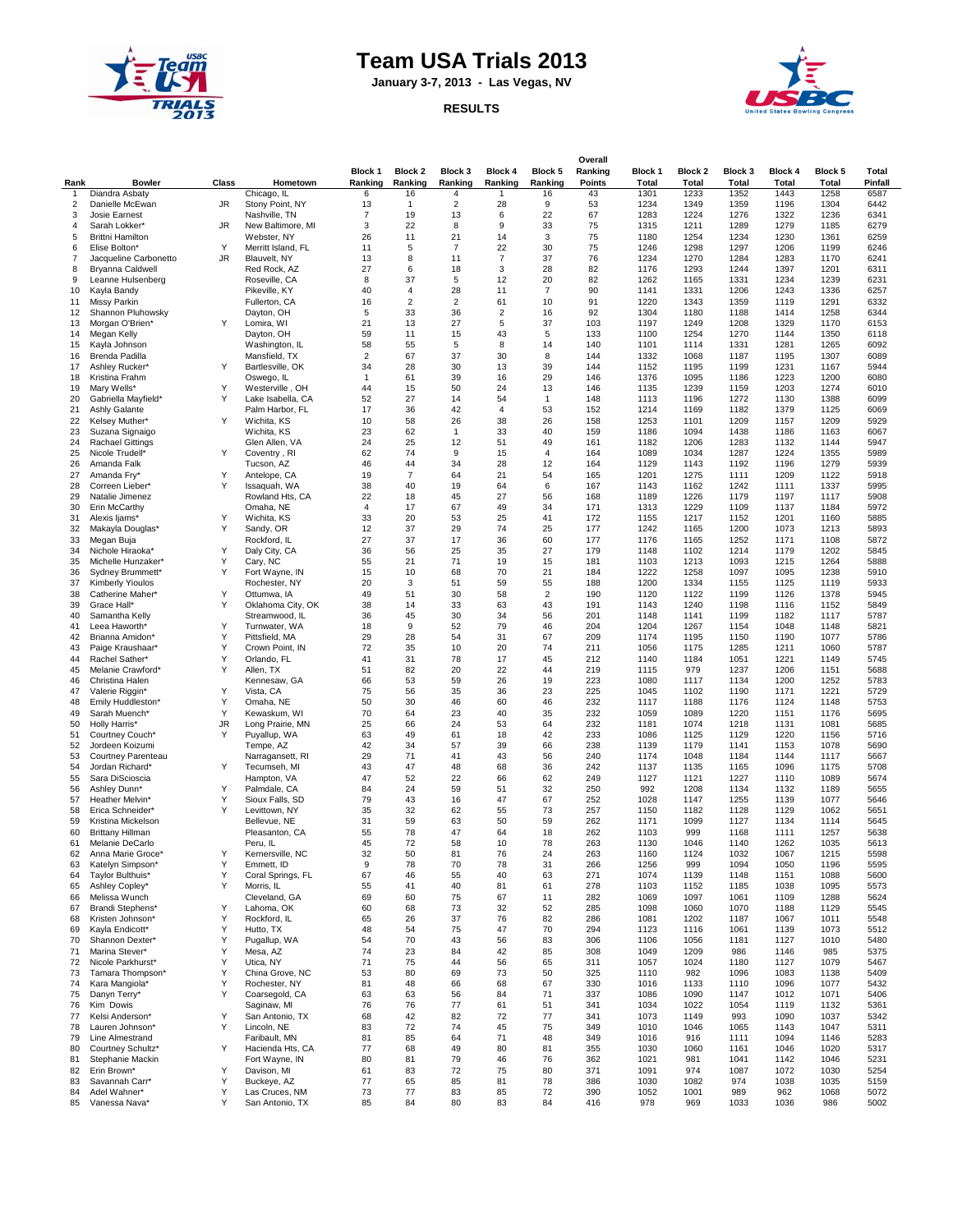

## **Team USA Trials 2013**

**January 3-7, 2013 - Las Vegas, NV**

## **RESULTS**



|                     |                                       |           |                                      |                |                      |                                  |                |                      | Overall    |              |              |              |              |              |              |
|---------------------|---------------------------------------|-----------|--------------------------------------|----------------|----------------------|----------------------------------|----------------|----------------------|------------|--------------|--------------|--------------|--------------|--------------|--------------|
|                     |                                       |           |                                      | Block 1        | <b>Block 2</b>       | Block 3                          | Block 4        | <b>Block 5</b>       | Ranking    | Block 1      | Block 2      | Block 3      | Block 4      | Block 5      | Total        |
| Rank                | <b>Bowler</b>                         | Class     | Hometown                             | Ranking        | Ranking              | Ranking                          | Ranking        | Ranking              | Points     | Total        | Total        | Total        | Total        | Total        | Pinfall      |
| 1<br>$\overline{2}$ | Diandra Asbaty                        | <b>JR</b> | Chicago, IL                          | 6<br>13        | 16<br>$\mathbf{1}$   | $\overline{4}$<br>$\overline{2}$ | 1<br>28        | 16<br>9              | 43<br>53   | 1301         | 1233         | 1352         | 1443         | 1258<br>1304 | 6587         |
| 3                   | Danielle McEwan<br>Josie Earnest      |           | Stony Point, NY<br>Nashville, TN     | $\overline{7}$ | 19                   | 13                               | 6              | 22                   | 67         | 1234<br>1283 | 1349<br>1224 | 1359<br>1276 | 1196<br>1322 | 1236         | 6442<br>6341 |
| $\overline{4}$      | Sarah Lokker*                         | JR        | New Baltimore, MI                    | 3              | 22                   | 8                                | 9              | 33                   | 75         | 1315         | 1211         | 1289         | 1279         | 1185         | 6279         |
| 5                   | <b>Brittni Hamilton</b>               |           | Webster, NY                          | 26             | 11                   | 21                               | 14             | 3                    | 75         | 1180         | 1254         | 1234         | 1230         | 1361         | 6259         |
| 6                   | Elise Bolton*                         | Y         | Merritt Island, FL                   | 11             | 5                    | $\overline{7}$                   | 22             | 30                   | 75         | 1246         | 1298         | 1297         | 1206         | 1199         | 6246         |
| $\overline{7}$      | Jacqueline Carbonetto                 | JR.       | Blauvelt, NY                         | 13             | 8                    | 11                               | $\overline{7}$ | 37                   | 76         | 1234         | 1270         | 1284         | 1283         | 1170         | 6241         |
| 8                   | Bryanna Caldwell                      |           | Red Rock, AZ                         | 27             | 6                    | 18                               | 3              | 28                   | 82         | 1176         | 1293         | 1244         | 1397         | 1201         | 6311         |
| 9                   | Leanne Hulsenberg                     |           | Roseville, CA                        | 8              | 37                   | 5                                | 12             | 20                   | 82         | 1262         | 1165         | 1331         | 1234         | 1239         | 6231         |
| 10                  | Kayla Bandy                           |           | Pikeville, KY                        | 40             | $\overline{4}$       | 28                               | 11             | $\overline{7}$       | 90<br>91   | 1141         | 1331         | 1206         | 1243         | 1336         | 6257         |
| 11<br>12            | Missy Parkin<br>Shannon Pluhowsky     |           | Fullerton, CA<br>Dayton, OH          | 16<br>5        | $\overline{2}$<br>33 | $\overline{c}$<br>36             | 61<br>2        | 10<br>16             | 92         | 1220<br>1304 | 1343<br>1180 | 1359<br>1188 | 1119<br>1414 | 1291<br>1258 | 6332<br>6344 |
| 13                  | Morgan O'Brien*                       | Y         | Lomira, WI                           | 21             | 13                   | 27                               | 5              | 37                   | 103        | 1197         | 1249         | 1208         | 1329         | 1170         | 6153         |
| 14                  | Megan Kelly                           |           | Dayton, OH                           | 59             | 11                   | 15                               | 43             | 5                    | 133        | 1100         | 1254         | 1270         | 1144         | 1350         | 6118         |
| 15                  | Kayla Johnson                         |           | Washington, IL                       | 58             | 55                   | 5                                | 8              | 14                   | 140        | 1101         | 1114         | 1331         | 1281         | 1265         | 6092         |
| 16                  | Brenda Padilla                        |           | Mansfield, TX                        | $\overline{2}$ | 67                   | 37                               | 30             | 8                    | 144        | 1332         | 1068         | 1187         | 1195         | 1307         | 6089         |
| 17                  | Ashley Rucker*                        | Y         | Bartlesville, OK                     | 34             | 28                   | 30                               | 13             | 39                   | 144        | 1152         | 1195         | 1199         | 1231         | 1167         | 5944         |
| 18                  | Kristina Frahm                        |           | Oswego, IL                           | 1              | 61                   | 39                               | 16             | 29                   | 146        | 1376         | 1095         | 1186         | 1223         | 1200         | 6080         |
| 19                  | Mary Wells*                           | Y<br>Y    | Westerville, OH<br>Lake Isabella, CA | 44<br>52       | 15<br>27             | 50<br>14                         | 24<br>54       | 13<br>$\mathbf{1}$   | 146<br>148 | 1135         | 1239         | 1159<br>1272 | 1203         | 1274         | 6010<br>6099 |
| 20<br>21            | Gabriella Mayfield*<br>Ashly Galante  |           | Palm Harbor, FL                      | 17             | 36                   | 42                               | $\overline{4}$ | 53                   | 152        | 1113<br>1214 | 1196<br>1169 | 1182         | 1130<br>1379 | 1388<br>1125 | 6069         |
| 22                  | Kelsey Muther*                        | Y         | Wichita, KS                          | 10             | 58                   | 26                               | 38             | 26                   | 158        | 1253         | 1101         | 1209         | 1157         | 1209         | 5929         |
| 23                  | Suzana Signaigo                       |           | Wichita, KS                          | 23             | 62                   | $\overline{1}$                   | 33             | 40                   | 159        | 1186         | 1094         | 1438         | 1186         | 1163         | 6067         |
| 24                  | <b>Rachael Gittings</b>               |           | Glen Allen, VA                       | 24             | 25                   | 12                               | 51             | 49                   | 161        | 1182         | 1206         | 1283         | 1132         | 1144         | 5947         |
| 25                  | Nicole Trudell*                       | Y         | Coventry, RI                         | 62             | 74                   | 9                                | 15             | 4                    | 164        | 1089         | 1034         | 1287         | 1224         | 1355         | 5989         |
| 26                  | Amanda Falk                           |           | Tucson, AZ                           | 46             | 44                   | 34                               | 28             | 12                   | 164        | 1129         | 1143         | 1192         | 1196         | 1279         | 5939         |
| 27                  | Amanda Fry*                           | Υ         | Antelope, CA                         | 19             | $\overline{7}$       | 64                               | 21             | 54                   | 165        | 1201         | 1275         | 1111         | 1209         | 1122         | 5918         |
| 28                  | Correen Lieber*                       | Υ         | Issaquah, WA<br>Rowland Hts. CA      | 38<br>22       | 40<br>18             | 19<br>45                         | 64<br>27       | 6<br>56              | 167        | 1143         | 1162         | 1242         | 1111         | 1337         | 5995         |
| 29<br>30            | Natalie Jimenez<br>Erin McCarthy      |           | Omaha, NE                            | $\overline{4}$ | 17                   | 67                               | 49             | 34                   | 168<br>171 | 1189<br>1313 | 1226<br>1229 | 1179<br>1109 | 1197<br>1137 | 1117<br>1184 | 5908<br>5972 |
| 31                  | Alexis ljams*                         | Y         | Wichita, KS                          | 33             | 20                   | 53                               | 25             | 41                   | 172        | 1155         | 1217         | 1152         | 1201         | 1160         | 5885         |
| 32                  | Makayla Douglas*                      | Y         | Sandy, OR                            | 12             | 37                   | 29                               | 74             | 25                   | 177        | 1242         | 1165         | 1200         | 1073         | 1213         | 5893         |
| 33                  | Megan Buja                            |           | Rockford, IL                         | 27             | 37                   | 17                               | 36             | 60                   | 177        | 1176         | 1165         | 1252         | 1171         | 1108         | 5872         |
| 34                  | Nichole Hiraoka*                      | Y         | Daly City, CA                        | 36             | 56                   | 25                               | 35             | 27                   | 179        | 1148         | 1102         | 1214         | 1179         | 1202         | 5845         |
| 35                  | Michelle Hunzaker*                    | Υ         | Cary, NC                             | 55             | 21                   | 71                               | 19             | 15                   | 181        | 1103         | 1213         | 1093         | 1215         | 1264         | 5888         |
| 36                  | Sydney Brummett*                      | Y         | Fort Wayne, IN                       | 15             | 10                   | 68                               | 70             | 21                   | 184        | 1222         | 1258         | 1097         | 1095         | 1238         | 5910         |
| 37<br>38            | <b>Kimberly Yioulos</b>               | Υ         | Rochester, NY                        | 20<br>49       | 3<br>51              | 51<br>30                         | 59<br>58       | 55<br>$\overline{2}$ | 188<br>190 | 1200<br>1120 | 1334<br>1122 | 1155<br>1199 | 1125<br>1126 | 1119<br>1378 | 5933<br>5945 |
| 39                  | Catherine Maher*<br>Grace Hall*       | Y         | Ottumwa, IA<br>Oklahoma City, OK     | 38             | 14                   | 33                               | 63             | 43                   | 191        | 1143         | 1240         | 1198         | 1116         | 1152         | 5849         |
| 40                  | Samantha Kelly                        |           | Streamwood, IL                       | 36             | 45                   | 30                               | 34             | 56                   | 201        | 1148         | 1141         | 1199         | 1182         | 1117         | 5787         |
| 41                  | Leea Haworth*                         | Y         | Turnwater, WA                        | 18             | 9                    | 52                               | 79             | 46                   | 204        | 1204         | 1267         | 1154         | 1048         | 1148         | 5821         |
| 42                  | Brianna Amidon*                       | Y         | Pittsfield, MA                       | 29             | 28                   | 54                               | 31             | 67                   | 209        | 1174         | 1195         | 1150         | 1190         | 1077         | 5786         |
| 43                  | Paige Kraushaar*                      | Y         | Crown Point, IN                      | 72             | 35                   | 10                               | 20             | 74                   | 211        | 1056         | 1175         | 1285         | 1211         | 1060         | 5787         |
| 44                  | Rachel Sather*                        | Y         | Orlando, FL                          | 41             | 31                   | 78                               | 17             | 45                   | 212        | 1140         | 1184         | 1051         | 1221         | 1149         | 5745         |
| 45                  | Melanie Crawford*                     | Y         | Allen, TX                            | 51<br>66       | 82<br>53             | 20<br>59                         | 22<br>26       | 44<br>19             | 219<br>223 | 1115<br>1080 | 979          | 1237         | 1206         | 1151         | 5688<br>5783 |
| 46<br>47            | Christina Halen<br>Valerie Riggin*    | Y         | Kennesaw, GA<br>Vista, CA            | 75             | 56                   | 35                               | 36             | 23                   | 225        | 1045         | 1117<br>1102 | 1134<br>1190 | 1200<br>1171 | 1252<br>1221 | 5729         |
| 48                  | Emily Huddleston*                     | Y         | Omaha, NE                            | 50             | 30                   | 46                               | 60             | 46                   | 232        | 1117         | 1188         | 1176         | 1124         | 1148         | 5753         |
| 49                  | Sarah Muench'                         | Y         | Kewaskum, WI                         | 70             | 64                   | 23                               | 40             | 35                   | 232        | 1059         | 1089         | 1220         | 1151         | 1176         | 5695         |
| 50                  | Holly Harris*                         | JR        | Long Prairie, MN                     | 25             | 66                   | 24                               | 53             | 64                   | 232        | 1181         | 1074         | 1218         | 1131         | 1081         | 5685         |
| 51                  | Courtney Couch*                       | Y         | Puyallup, WA                         | 63             | 49                   | 61                               | 18             | 42                   | 233        | 1086         | 1125         | 1129         | 1220         | 1156         | 5716         |
| 52                  | Jordeen Koizumi                       |           | Tempe, AZ                            | 42             | 34                   | 57                               | 39             | 66                   | 238        | 1139         | 1179         | 1141         | 1153         | 1078         | 5690         |
| 53                  | Courtney Parenteau                    |           | Narragansett, RI                     | 29             | 71                   | 41                               | 43             | 56                   | 240        | 1174         | 1048         | 1184         | 1144         | 1117         | 5667         |
| 54<br>55            | Jordan Richard*<br>Sara DiScioscia    | Υ         | Tecumseh, MI<br>Hampton, VA          | 43<br>47       | 47<br>52             | 48<br>22                         | 68<br>66       | 36<br>62             | 242<br>249 | 1137<br>1127 | 1135<br>1121 | 1165<br>1227 | 1096<br>1110 | 1175<br>1089 | 5708<br>5674 |
| 56                  | Ashley Dunn*                          | Y         | Palmdale, CA                         | 84             | 24                   | 59                               | 51             | 32                   | 250        | 992          | 1208         | 1134         | 1132         | 1189         | 5655         |
| 57                  | Heather Melvin*                       | Y         | Sioux Falls, SD                      | 79             | 43                   | 16                               | 47             | 67                   | 252        | 1028         | 1147         | 1255         | 1139         | 1077         | 5646         |
| 58                  | Erica Schneider*                      | Y         | Levittown, NY                        | 35             | 32                   | 62                               | 55             | 73                   | 257        | 1150         | 1182         | 1128         | 1129         | 1062         | 5651         |
| 59                  | Kristina Mickelson                    |           | Bellevue, NE                         | 31             | 59                   | 63                               | 50             | 59                   | 262        | 1171         | 1099         | 1127         | 1134         | 1114         | 5645         |
| 60                  | <b>Brittany Hillman</b>               |           | Pleasanton, CA                       | 55             | 78                   | 47                               | 64             | 18                   | 262        | 1103         | 999          | 1168         | 1111         | 1257         | 5638         |
| 61                  | Melanie DeCarlo                       |           | Peru, IL                             | 45             | 72                   | 58                               | 10             | 78                   | 263        | 1130         | 1046         | 1140         | 1262         | 1035         | 5613         |
| 62                  | Anna Marie Groce'                     | Υ         | Kernersville, NC                     | 32<br>9        | 50                   | 81                               | 76             | 24                   | 263        | 1160         | 1124         | 1032         | 1067         | 1215         | 5598         |
| 63<br>64            | Katelyn Simpson*<br>Taylor Bulthuis*  | Y<br>Y    | Emmett, ID<br>Coral Springs, FL      | 67             | 78<br>46             | 70<br>55                         | 78<br>40       | 31<br>63             | 266<br>271 | 1256<br>1074 | 999<br>1139  | 1094<br>1148 | 1050<br>1151 | 1196<br>1088 | 5595<br>5600 |
| 65                  | Ashley Copley*                        | Y         | Morris, IL                           | 55             | 41                   | 40                               | 81             | 61                   | 278        | 1103         | 1152         | 1185         | 1038         | 1095         | 5573         |
| 66                  | Melissa Wunch                         |           | Cleveland, GA                        | 69             | 60                   | 75                               | 67             | 11                   | 282        | 1069         | 1097         | 1061         | 1109         | 1288         | 5624         |
| 67                  | Brandi Stephens*                      | Y         | Lahoma, OK                           | 60             | 68                   | 73                               | 32             | 52                   | 285        | 1098         | 1060         | 1070         | 1188         | 1129         | 5545         |
| 68                  | Kristen Johnson*                      | Y         | Rockford, IL                         | 65             | 26                   | 37                               | 76             | 82                   | 286        | 1081         | 1202         | 1187         | 1067         | 1011         | 5548         |
| 69                  | Kayla Endicott*                       | Y         | Hutto, TX                            | 48             | 54                   | 75                               | 47             | 70                   | 294        | 1123         | 1116         | 1061         | 1139         | 1073         | 5512         |
| 70                  | Shannon Dexter*                       | Y         | Pugallup, WA                         | 54             | 70                   | 43                               | 56             | 83                   | 306        | 1106         | 1056         | 1181         | 1127         | 1010         | 5480         |
| 71                  | Marina Stever*                        | Y         | Mesa, AZ                             | 74             | 23                   | 84                               | 42             | 85                   | 308        | 1049         | 1209         | 986          | 1146         | 985          | 5375         |
| 72<br>73            | Nicole Parkhurst*<br>Tamara Thompson* | Y<br>Y    | Utica, NY<br>China Grove, NC         | 71<br>53       | 75<br>80             | 44<br>69                         | 56<br>73       | 65<br>50             | 311<br>325 | 1057<br>1110 | 1024<br>982  | 1180<br>1096 | 1127<br>1083 | 1079<br>1138 | 5467<br>5409 |
| 74                  | Kara Mangiola*                        | Y         | Rochester, NY                        | 81             | 48                   | 66                               | 68             | 67                   | 330        | 1016         | 1133         | 1110         | 1096         | 1077         | 5432         |
| 75                  | Danyn Terry*                          | Y         | Coarsegold, CA                       | 63             | 63                   | 56                               | 84             | 71                   | 337        | 1086         | 1090         | 1147         | 1012         | 1071         | 5406         |
| 76                  | Kim Dowis                             |           | Saginaw, MI                          | 76             | 76                   | 77                               | 61             | 51                   | 341        | 1034         | 1022         | 1054         | 1119         | 1132         | 5361         |
| 77                  | Kelsi Anderson*                       | Y         | San Antonio, TX                      | 68             | 42                   | 82                               | 72             | 77                   | 341        | 1073         | 1149         | 993          | 1090         | 1037         | 5342         |
| 78                  | Lauren Johnson*                       | Y         | Lincoln, NE                          | 83             | 72                   | 74                               | 45             | 75                   | 349        | 1010         | 1046         | 1065         | 1143         | 1047         | 5311         |
| 79                  | Line Almestrand                       |           | Faribault, MN                        | 81             | 85                   | 64                               | 71             | 48                   | 349        | 1016         | 916          | 1111         | 1094         | 1146         | 5283         |
| 80                  | Courtney Schultz*                     | Y         | Hacienda Hts, CA                     | 77             | 68                   | 49                               | 80             | 81                   | 355        | 1030         | 1060         | 1161         | 1046         | 1020         | 5317         |
| 81                  | Stephanie Mackin                      |           | Fort Wayne, IN                       | 80             | 81                   | 79                               | 46             | 76                   | 362        | 1021         | 981          | 1041         | 1142         | 1046         | 5231         |
| 82<br>83            | Erin Brown*<br>Savannah Carr*         | Y<br>Y    | Davison, MI<br>Buckeye, AZ           | 61<br>77       | 83<br>65             | 72<br>85                         | 75<br>81       | 80<br>78             | 371<br>386 | 1091<br>1030 | 974<br>1082  | 1087<br>974  | 1072<br>1038 | 1030<br>1035 | 5254<br>5159 |
| 84                  | Adel Wahner*                          | Υ         | Las Cruces, NM                       | 73             | 77                   | 83                               | 85             | 72                   | 390        | 1052         | 1001         | 989          | 962          | 1068         | 5072         |
| 85                  | Vanessa Nava*                         | Y         | San Antonio, TX                      | 85             | 84                   | 80                               | 83             | 84                   | 416        | 978          | 969          | 1033         | 1036         | 986          | 5002         |
|                     |                                       |           |                                      |                |                      |                                  |                |                      |            |              |              |              |              |              |              |